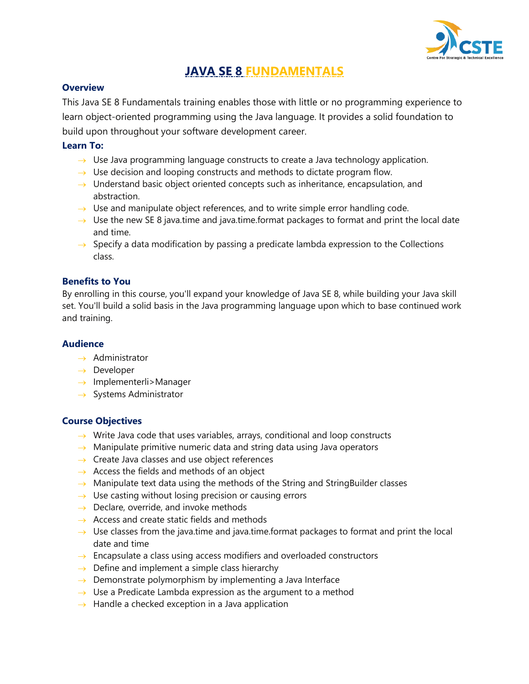

# **JAVA SE 8 FUNDAMENTALS**

# **Overview**

This Java SE 8 Fundamentals training enables those with little or no programming experience to learn object-oriented programming using the Java language. It provides a solid foundation to build upon throughout your software development career.

# **Learn To:**

- $\rightarrow$  Use Java programming language constructs to create a Java technology application.
- $\rightarrow$  Use decision and looping constructs and methods to dictate program flow.
- $\rightarrow$  Understand basic object oriented concepts such as inheritance, encapsulation, and abstraction.
- $\rightarrow$  Use and manipulate object references, and to write simple error handling code.
- $\rightarrow$  Use the new SE 8 java.time and java.time.format packages to format and print the local date and time.
- $\rightarrow$  Specify a data modification by passing a predicate lambda expression to the Collections class.

# **Benefits to You**

By enrolling in this course, you'll expand your knowledge of Java SE 8, while building your Java skill set. You'll build a solid basis in the Java programming language upon which to base continued work and training.

# **Audience**

- $\rightarrow$  Administrator
- $\rightarrow$  Developer
- $\rightarrow$  Implementerli>Manager
- $\rightarrow$  Systems Administrator

# **Course Objectives**

- $\rightarrow$  Write Java code that uses variables, arrays, conditional and loop constructs
- $\rightarrow$  Manipulate primitive numeric data and string data using Java operators
- $\rightarrow$  Create Java classes and use object references
- $\rightarrow$  Access the fields and methods of an object
- $\rightarrow$  Manipulate text data using the methods of the String and StringBuilder classes
- $\rightarrow$  Use casting without losing precision or causing errors
- $\rightarrow$  Declare, override, and invoke methods
- $\rightarrow$  Access and create static fields and methods
- $\rightarrow$  Use classes from the java.time and java.time.format packages to format and print the local date and time
- $\rightarrow$  Encapsulate a class using access modifiers and overloaded constructors
- $\rightarrow$  Define and implement a simple class hierarchy
- $\rightarrow$  Demonstrate polymorphism by implementing a Java Interface
- $\rightarrow$  Use a Predicate Lambda expression as the argument to a method
- $\rightarrow$  Handle a checked exception in a Java application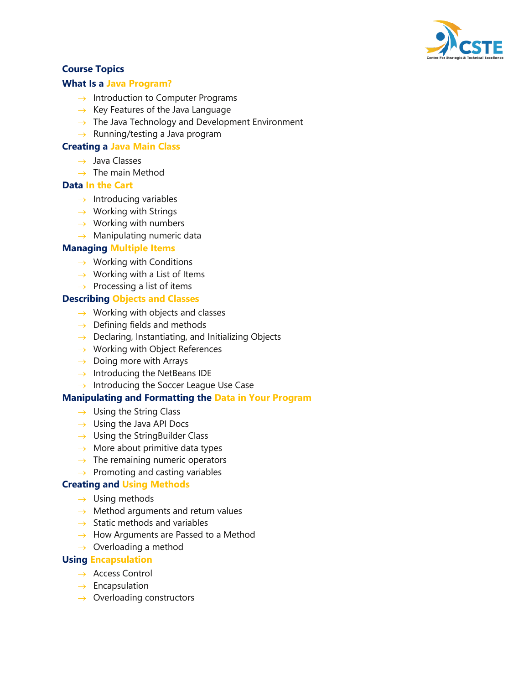

# **Course Topics**

## **What Is a Java Program?**

- $\rightarrow$  Introduction to Computer Programs
- $\rightarrow$  Key Features of the Java Language
- $\rightarrow$  The Java Technology and Development Environment
- $\rightarrow$  Running/testing a Java program

#### **Creating a Java Main Class**

- $\rightarrow$  Java Classes
- $\rightarrow$  The main Method

#### **Data In the Cart**

- $\rightarrow$  Introducing variables
- $\rightarrow$  Working with Strings
- $\rightarrow$  Working with numbers
- $\rightarrow$  Manipulating numeric data

#### **Managing Multiple Items**

- $\rightarrow$  Working with Conditions
- $\rightarrow$  Working with a List of Items
- $\rightarrow$  Processing a list of items

#### **Describing Objects and Classes**

- $\rightarrow$  Working with objects and classes
- $\rightarrow$  Defining fields and methods
- $\rightarrow$  Declaring, Instantiating, and Initializing Objects
- $\rightarrow$  Working with Object References
- $\rightarrow$  Doing more with Arrays
- $\rightarrow$  Introducing the NetBeans IDE
- $\rightarrow$  Introducing the Soccer League Use Case

#### **Manipulating and Formatting the Data in Your Program**

- $\rightarrow$  Using the String Class
- $\rightarrow$  Using the Java API Docs
- $\rightarrow$  Using the StringBuilder Class
- $\rightarrow$  More about primitive data types
- $\rightarrow$  The remaining numeric operators
- $\rightarrow$  Promoting and casting variables

# **Creating and Using Methods**

- $\rightarrow$  Using methods
- $\rightarrow$  Method arguments and return values
- $\rightarrow$  Static methods and variables
- $\rightarrow$  How Arguments are Passed to a Method
- $\rightarrow$  Overloading a method

#### **Using Encapsulation**

- → Access Control
- $\rightarrow$  Encapsulation
- $\rightarrow$  Overloading constructors